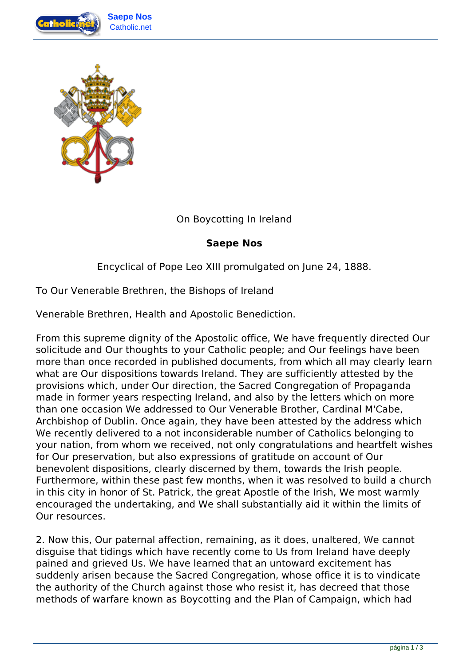



On Boycotting In Ireland

## **Saepe Nos**

Encyclical of Pope Leo XIII promulgated on June 24, 1888.

To Our Venerable Brethren, the Bishops of Ireland

Venerable Brethren, Health and Apostolic Benediction.

From this supreme dignity of the Apostolic office, We have frequently directed Our solicitude and Our thoughts to your Catholic people; and Our feelings have been more than once recorded in published documents, from which all may clearly learn what are Our dispositions towards Ireland. They are sufficiently attested by the provisions which, under Our direction, the Sacred Congregation of Propaganda made in former years respecting Ireland, and also by the letters which on more than one occasion We addressed to Our Venerable Brother, Cardinal M'Cabe, Archbishop of Dublin. Once again, they have been attested by the address which We recently delivered to a not inconsiderable number of Catholics belonging to your nation, from whom we received, not only congratulations and heartfelt wishes for Our preservation, but also expressions of gratitude on account of Our benevolent dispositions, clearly discerned by them, towards the Irish people. Furthermore, within these past few months, when it was resolved to build a church in this city in honor of St. Patrick, the great Apostle of the Irish, We most warmly encouraged the undertaking, and We shall substantially aid it within the limits of Our resources.

2. Now this, Our paternal affection, remaining, as it does, unaltered, We cannot disguise that tidings which have recently come to Us from Ireland have deeply pained and grieved Us. We have learned that an untoward excitement has suddenly arisen because the Sacred Congregation, whose office it is to vindicate the authority of the Church against those who resist it, has decreed that those methods of warfare known as Boycotting and the Plan of Campaign, which had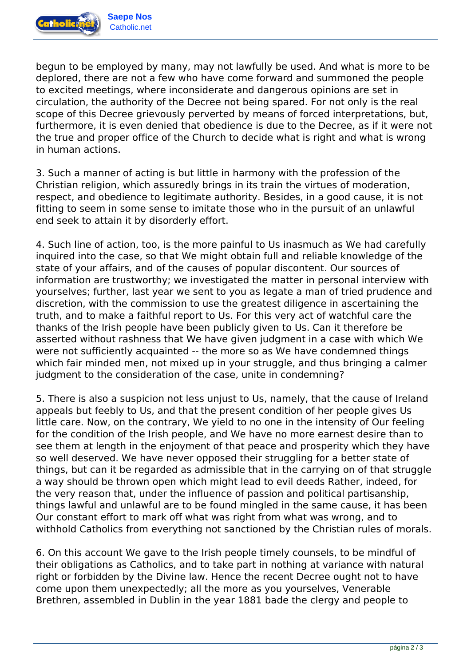

Catholic.net

begun to be employed by many, may not lawfully be used. And what is more to be deplored, there are not a few who have come forward and summoned the people to excited meetings, where inconsiderate and dangerous opinions are set in circulation, the authority of the Decree not being spared. For not only is the real scope of this Decree grievously perverted by means of forced interpretations, but, furthermore, it is even denied that obedience is due to the Decree, as if it were not the true and proper office of the Church to decide what is right and what is wrong in human actions.

3. Such a manner of acting is but little in harmony with the profession of the Christian religion, which assuredly brings in its train the virtues of moderation, respect, and obedience to legitimate authority. Besides, in a good cause, it is not fitting to seem in some sense to imitate those who in the pursuit of an unlawful end seek to attain it by disorderly effort.

4. Such line of action, too, is the more painful to Us inasmuch as We had carefully inquired into the case, so that We might obtain full and reliable knowledge of the state of your affairs, and of the causes of popular discontent. Our sources of information are trustworthy; we investigated the matter in personal interview with yourselves; further, last year we sent to you as legate a man of tried prudence and discretion, with the commission to use the greatest diligence in ascertaining the truth, and to make a faithful report to Us. For this very act of watchful care the thanks of the Irish people have been publicly given to Us. Can it therefore be asserted without rashness that We have given judgment in a case with which We were not sufficiently acquainted -- the more so as We have condemned things which fair minded men, not mixed up in your struggle, and thus bringing a calmer judgment to the consideration of the case, unite in condemning?

5. There is also a suspicion not less unjust to Us, namely, that the cause of Ireland appeals but feebly to Us, and that the present condition of her people gives Us little care. Now, on the contrary, We yield to no one in the intensity of Our feeling for the condition of the Irish people, and We have no more earnest desire than to see them at length in the enjoyment of that peace and prosperity which they have so well deserved. We have never opposed their struggling for a better state of things, but can it be regarded as admissible that in the carrying on of that struggle a way should be thrown open which might lead to evil deeds Rather, indeed, for the very reason that, under the influence of passion and political partisanship, things lawful and unlawful are to be found mingled in the same cause, it has been Our constant effort to mark off what was right from what was wrong, and to withhold Catholics from everything not sanctioned by the Christian rules of morals.

6. On this account We gave to the Irish people timely counsels, to be mindful of their obligations as Catholics, and to take part in nothing at variance with natural right or forbidden by the Divine law. Hence the recent Decree ought not to have come upon them unexpectedly; all the more as you yourselves, Venerable Brethren, assembled in Dublin in the year 1881 bade the clergy and people to